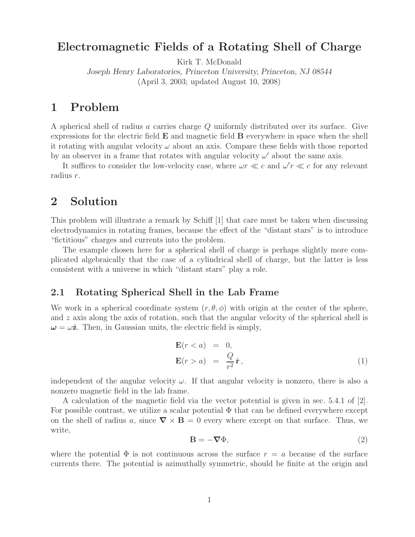## **Electromagnetic Fields of a Rotating Shell of Charge**

Kirk T. McDonald

*Joseph Henry Laboratories, Princeton University, Princeton, NJ 08544* (April 3, 2003; updated August 10, 2008)

### **1 Problem**

A spherical shell of radius a carries charge Q uniformly distributed over its surface. Give expressions for the electric field **E** and magnetic field **B** everywhere in space when the shell it rotating with angular velocity  $\omega$  about an axis. Compare these fields with those reported by an observer in a frame that rotates with angular velocity  $\omega'$  about the same axis.

It suffices to consider the low-velocity case, where  $\omega r \ll c$  and  $\omega' r \ll c$  for any relevant radius r.

## **2 Solution**

This problem will illustrate a remark by Schiff [1] that care must be taken when discussing electrodynamics in rotating frames, because the effect of the "distant stars" is to introduce "fictitious" charges and currents into the problem.

The example chosen here for a spherical shell of charge is perhaps slightly more complicated algebraically that the case of a cylindrical shell of charge, but the latter is less consistent with a universe in which "distant stars" play a role.

### **2.1 Rotating Spherical Shell in the Lab Frame**

We work in a spherical coordinate system  $(r, \theta, \phi)$  with origin at the center of the sphere, and z axis along the axis of rotation, such that the angular velocity of the spherical shell is  $\omega = \omega \hat{z}$ . Then, in Gaussian units, the electric field is simply,

$$
\mathbf{E}(r < a) = 0, \n\mathbf{E}(r > a) = \frac{Q}{r^2} \hat{\mathbf{r}},
$$
\n(1)

independent of the angular velocity  $\omega$ . If that angular velocity is nonzero, there is also a nonzero magnetic field in the lab frame.

A calculation of the magnetic field via the vector potential is given in sec. 5.4.1 of [2]. For possible contrast, we utilize a scalar potential  $\Phi$  that can be defined everywhere except on the shell of radius a, since  $\nabla \times \mathbf{B} = 0$  every where except on that surface. Thus, we write,

$$
\mathbf{B} = -\nabla\Phi,\tag{2}
$$

where the potential  $\Phi$  is not continuous across the surface  $r = a$  because of the surface currents there. The potential is azimuthally symmetric, should be finite at the origin and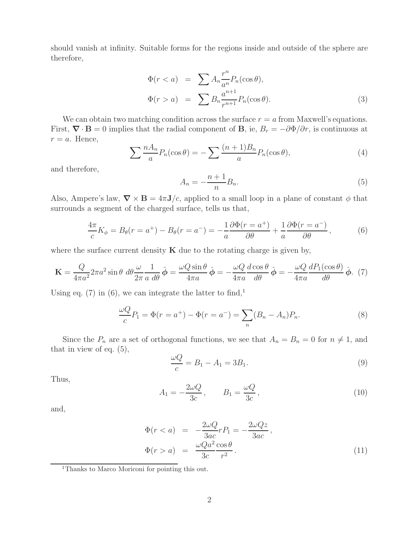should vanish at infinity. Suitable forms for the regions inside and outside of the sphere are therefore,

$$
\Phi(r < a) = \sum A_n \frac{r^n}{a^n} P_n(\cos \theta),
$$
\n
$$
\Phi(r > a) = \sum B_n \frac{a^{n+1}}{r^{n+1}} P_n(\cos \theta). \tag{3}
$$

We can obtain two matching condition across the surface  $r = a$  from Maxwell's equations. First,  $\nabla \cdot \mathbf{B} = 0$  implies that the radial component of **B**, ie,  $B_r = -\partial \Phi / \partial r$ , is continuous at  $r = a$ . Hence,

$$
\sum \frac{nA_n}{a} P_n(\cos \theta) = -\sum \frac{(n+1)B_n}{a} P_n(\cos \theta), \tag{4}
$$

and therefore,

$$
A_n = -\frac{n+1}{n}B_n.\tag{5}
$$

Also, Ampere's law,  $\nabla \times \mathbf{B} = 4\pi \mathbf{J}/c$ , applied to a small loop in a plane of constant  $\phi$  that surrounds a segment of the charged surface, tells us that,

$$
\frac{4\pi}{c}K_{\phi} = B_{\theta}(r = a^{+}) - B_{\theta}(r = a^{-}) = -\frac{1}{a}\frac{\partial\Phi(r = a^{+})}{\partial\theta} + \frac{1}{a}\frac{\partial\Phi(r = a^{-})}{\partial\theta},
$$
(6)

where the surface current density  $\bf{K}$  due to the rotating charge is given by,

$$
\mathbf{K} = \frac{Q}{4\pi a^2} 2\pi a^2 \sin \theta \, d\theta \frac{\omega}{2\pi} \frac{1}{a \, d\theta} \hat{\boldsymbol{\phi}} = \frac{\omega Q \sin \theta}{4\pi a} \hat{\boldsymbol{\phi}} = -\frac{\omega Q}{4\pi a} \frac{d \cos \theta}{d\theta} \hat{\boldsymbol{\phi}} = -\frac{\omega Q}{4\pi a} \frac{dP_1(\cos \theta)}{d\theta} \hat{\boldsymbol{\phi}}. (7)
$$

Using eq. (7) in (6), we can integrate the latter to find,<sup>1</sup>

$$
\frac{\omega Q}{c}P_1 = \Phi(r = a^+) - \Phi(r = a^-) = \sum_n (B_n - A_n)P_n.
$$
 (8)

Since the  $P_n$  are a set of orthogonal functions, we see that  $A_n = B_n = 0$  for  $n \neq 1$ , and that in view of eq.  $(5)$ ,

$$
\frac{\omega Q}{c} = B_1 - A_1 = 3B_1. \tag{9}
$$

Thus,

$$
A_1 = -\frac{2\omega Q}{3c}, \qquad B_1 = \frac{\omega Q}{3c}, \qquad (10)
$$

and,

$$
\Phi(r < a) = -\frac{2\omega Q}{3ac}rP_1 = -\frac{2\omega Qz}{3ac},
$$
\n
$$
\Phi(r > a) = \frac{\omega Qa^2 \cos \theta}{3c - r^2}.
$$
\n
$$
(11)
$$

<sup>1</sup>Thanks to Marco Moriconi for pointing this out.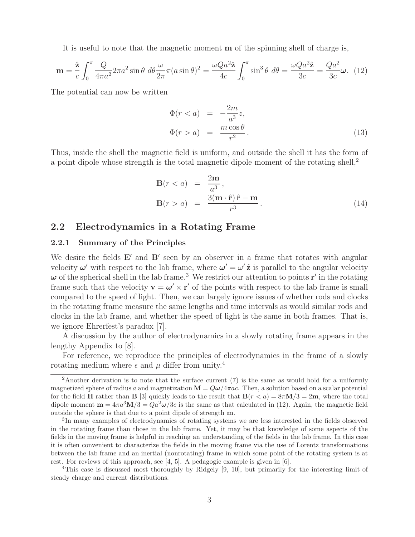It is useful to note that the magnetic moment **m** of the spinning shell of charge is,

$$
\mathbf{m} = \frac{\hat{\mathbf{z}}}{c} \int_0^{\pi} \frac{Q}{4\pi a^2} 2\pi a^2 \sin \theta \ d\theta \frac{\omega}{2\pi} \pi (a \sin \theta)^2 = \frac{\omega Q a^2 \hat{\mathbf{z}}}{4c} \int_0^{\pi} \sin^3 \theta \ d\theta = \frac{\omega Q a^2 \hat{\mathbf{z}}}{3c} = \frac{Q a^2}{3c} \boldsymbol{\omega}. \tag{12}
$$

The potential can now be written

$$
\Phi(r < a) = -\frac{2m}{a^3}z,
$$
\n
$$
\Phi(r > a) = \frac{m\cos\theta}{r^2}.
$$
\n
$$
(13)
$$

Thus, inside the shell the magnetic field is uniform, and outside the shell it has the form of a point dipole whose strength is the total magnetic dipole moment of the rotating shell,<sup>2</sup>

$$
\mathbf{B}(r < a) = \frac{2\mathbf{m}}{a^3},
$$
\n
$$
\mathbf{B}(r > a) = \frac{3(\mathbf{m} \cdot \hat{\mathbf{r}}) \hat{\mathbf{r}} - \mathbf{m}}{r^3}.
$$
\n
$$
(14)
$$

#### **2.2 Electrodynamics in a Rotating Frame**

#### **2.2.1 Summary of the Principles**

We desire the fields  $E'$  and  $B'$  seen by an observer in a frame that rotates with angular velocity  $\omega'$  with respect to the lab frame, where  $\omega' = \omega' \hat{z}$  is parallel to the angular velocity  $\omega$  of the spherical shell in the lab frame.<sup>3</sup> We restrict our attention to points **r**<sup>'</sup> in the rotating frame such that the velocity  $\mathbf{v} = \boldsymbol{\omega}' \times \mathbf{r}'$  of the points with respect to the lab frame is small compared to the speed of light. Then, we can largely ignore issues of whether rods and clocks in the rotating frame measure the same lengths and time intervals as would similar rods and clocks in the lab frame, and whether the speed of light is the same in both frames. That is, we ignore Ehrerfest's paradox [7].

A discussion by the author of electrodynamics in a slowly rotating frame appears in the lengthy Appendix to [8].

For reference, we reproduce the principles of electrodynamics in the frame of a slowly rotating medium where  $\epsilon$  and  $\mu$  differ from unity.<sup>4</sup>

<sup>&</sup>lt;sup>2</sup>Another derivation is to note that the surface current  $(7)$  is the same as would hold for a uniformly magnetized sphere of radius a and magnetization  $\mathbf{M} = Q\omega/4\pi ac$ . Then, a solution based on a scalar potential for the field **H** rather than **B** [3] quickly leads to the result that  $\mathbf{B}(r < a) = 8\pi \mathbf{M}/3 = 2\mathbf{m}$ , where the total dipole moment  $\mathbf{m} = 4\pi a^3 \mathbf{M}/3 = Q a^2 \omega/3c$  is the same as that calculated in (12). Again, the magnetic field outside the sphere is that due to a point dipole of strength **m**.

<sup>3</sup>In many examples of electrodynamics of rotating systems we are less interested in the fields observed in the rotating frame than those in the lab frame. Yet, it may be that knowledge of some aspects of the fields in the moving frame is helpful in reaching an understanding of the fields in the lab frame. In this case it is often convenient to characterize the fields in the moving frame via the use of Lorentz transformations between the lab frame and an inertial (nonrotating) frame in which some point of the rotating system is at rest. For reviews of this approach, see  $[4, 5]$ . A pedagogic example is given in  $[6]$ .

<sup>4</sup>This case is discussed most thoroughly by Ridgely [9, 10], but primarily for the interesting limit of steady charge and current distributions.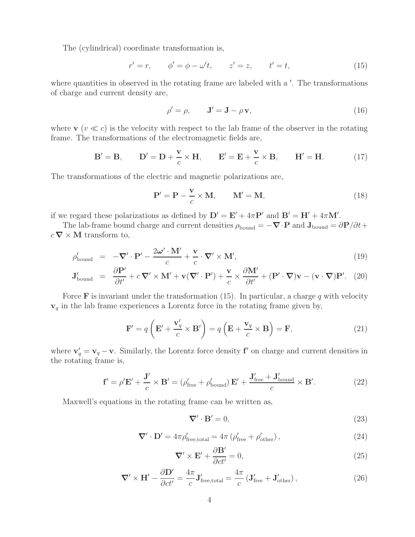The (cylindrical) coordinate transformation is,

$$
r' = r,
$$
  $\phi' = \phi - \omega' t,$   $z' = z,$   $t' = t,$  (15)

where quantities in observed in the rotating frame are labeled with a  $\prime$ . The transformations of charge and current density are,

$$
\rho' = \rho, \qquad \mathbf{J}' = \mathbf{J} - \rho \mathbf{v}, \tag{16}
$$

where  $\mathbf{v}$  ( $v \ll c$ ) is the velocity with respect to the lab frame of the observer in the rotating frame. The transformations of the electromagnetic fields are,

$$
\mathbf{B}' = \mathbf{B}, \qquad \mathbf{D}' = \mathbf{D} + \frac{\mathbf{v}}{c} \times \mathbf{H}, \qquad \mathbf{E}' = \mathbf{E} + \frac{\mathbf{v}}{c} \times \mathbf{B}, \qquad \mathbf{H}' = \mathbf{H}.
$$
 (17)

The transformations of the electric and magnetic polarizations are,

$$
\mathbf{P}' = \mathbf{P} - \frac{\mathbf{v}}{c} \times \mathbf{M}, \qquad \mathbf{M}' = \mathbf{M}, \tag{18}
$$

if we regard these polarizations as defined by  $D' = E' + 4\pi P'$  and  $B' = H' + 4\pi M'$ .

The lab-frame bound charge and current densities  $\rho_{\text{bound}} = -\nabla \cdot \mathbf{P}$  and  $\mathbf{J}_{\text{bound}} = \partial \mathbf{P}/\partial t + \nabla \cdot \mathbf{P}$  $c \nabla \times \mathbf{M}$  transform to,

$$
\rho'_{\text{bound}} = -\nabla' \cdot \mathbf{P}' - \frac{2\omega' \cdot \mathbf{M}'}{c} + \frac{\mathbf{v}}{c} \cdot \nabla' \times \mathbf{M}',\tag{19}
$$

$$
\mathbf{J}_{\text{bound}}' = \frac{\partial \mathbf{P}'}{\partial t'} + c \, \nabla' \times \mathbf{M}' + \mathbf{v} (\nabla' \cdot \mathbf{P}') + \frac{\mathbf{v}}{c} \times \frac{\partial \mathbf{M}'}{\partial t'} + (\mathbf{P}' \cdot \nabla) \mathbf{v} - (\mathbf{v} \cdot \nabla) \mathbf{P}'. \tag{20}
$$

Force **F** is invariant under the transformation  $(15)$ . In particular, a charge q with velocity **v**<sup>q</sup> in the lab frame experiences a Lorentz force in the rotating frame given by,

$$
\mathbf{F}' = q\left(\mathbf{E}' + \frac{\mathbf{v}'_q}{c} \times \mathbf{B}'\right) = q\left(\mathbf{E} + \frac{\mathbf{v}_q}{c} \times \mathbf{B}\right) = \mathbf{F},\tag{21}
$$

where  $\mathbf{v}'_q = \mathbf{v}_q - \mathbf{v}$ . Similarly, the Lorentz force density **f**<sup>*'*</sup> on charge and current densities in the rotating frame is,

$$
\mathbf{f}' = \rho' \mathbf{E}' + \frac{\mathbf{J}'}{c} \times \mathbf{B}' = (\rho'_{\text{free}} + \rho'_{\text{bound}}) \mathbf{E}' + \frac{\mathbf{J}'_{\text{free}} + \mathbf{J}'_{\text{bound}}}{c} \times \mathbf{B}'. \tag{22}
$$

Maxwell's equations in the rotating frame can be written as,

$$
\nabla' \cdot \mathbf{B}' = 0,\tag{23}
$$

$$
\nabla' \cdot \mathbf{D}' = 4\pi \rho'_{\text{free,total}} = 4\pi \left( \rho'_{\text{free}} + \rho'_{\text{other}} \right),\tag{24}
$$

$$
\nabla' \times \mathbf{E}' + \frac{\partial \mathbf{B}'}{\partial ct'} = 0,
$$
\n(25)

$$
\nabla' \times \mathbf{H}' - \frac{\partial \mathbf{D}'}{\partial ct'} = \frac{4\pi}{c} \mathbf{J}'_{\text{free,total}} = \frac{4\pi}{c} \left( \mathbf{J}'_{\text{free}} + \mathbf{J}'_{\text{other}} \right),\tag{26}
$$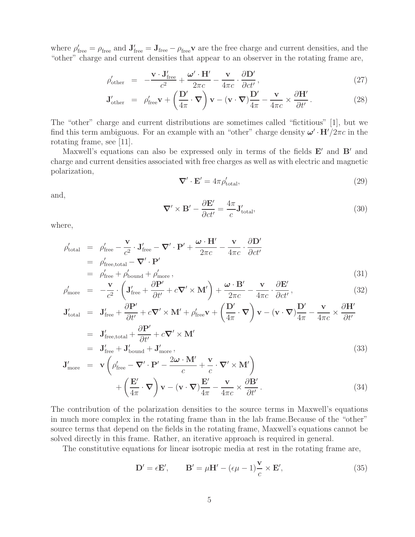where  $\rho'_{\text{free}} = \rho_{\text{free}}$  and  $\mathbf{J}'_{\text{free}} = \mathbf{J}_{\text{free}} - \rho_{\text{free}}\mathbf{v}$  are the free charge and current densities, and the "other" charge and current densities that appear to an observer in the rotating frame are,

$$
\rho'_{\text{other}} = -\frac{\mathbf{v} \cdot \mathbf{J}_{\text{free}}'}{c^2} + \frac{\boldsymbol{\omega}' \cdot \mathbf{H}'}{2\pi c} - \frac{\mathbf{v}}{4\pi c} \cdot \frac{\partial \mathbf{D}'}{\partial ct'},
$$
\n(27)

$$
\mathbf{J}_{\text{other}}' = \rho_{\text{free}}' \mathbf{v} + \left(\frac{\mathbf{D}'}{4\pi} \cdot \mathbf{\nabla}\right) \mathbf{v} - (\mathbf{v} \cdot \mathbf{\nabla}) \frac{\mathbf{D}'}{4\pi} - \frac{\mathbf{v}}{4\pi c} \times \frac{\partial \mathbf{H}'}{\partial t'}.
$$
 (28)

The "other" charge and current distributions are sometimes called "fictitious" [1], but we find this term ambiguous. For an example with an "other" charge density  $\omega' \cdot H'/2\pi c$  in the rotating frame, see [11].

Maxwell's equations can also be expressed only in terms of the fields **E**' and **B**' and charge and current densities associated with free charges as well as with electric and magnetic polarization,

$$
\nabla' \cdot \mathbf{E}' = 4\pi \rho'_{\text{total}},\tag{29}
$$

and,

$$
\nabla' \times \mathbf{B}' - \frac{\partial \mathbf{E}'}{\partial ct'} = \frac{4\pi}{c} \mathbf{J}'_{\text{total}},\tag{30}
$$

where,

$$
\rho'_{\text{total}} = \rho'_{\text{free}} - \frac{\mathbf{v}}{c^2} \cdot \mathbf{J}'_{\text{free}} - \nabla' \cdot \mathbf{P}' + \frac{\boldsymbol{\omega} \cdot \mathbf{H}'}{2\pi c} - \frac{\mathbf{v}}{4\pi c} \cdot \frac{\partial \mathbf{D}'}{\partial ct'}
$$
\n
$$
= \rho'_{\text{free,total}} - \nabla' \cdot \mathbf{P}'
$$
\n
$$
= \rho'_{\text{free}} + \rho'_{\text{bound}} + \rho'_{\text{more}},
$$
\n(31)

$$
\rho'_{\text{more}} = -\frac{\mathbf{v}}{c^2} \cdot \left( \mathbf{J}'_{\text{free}} + \frac{\partial \mathbf{P}'}{\partial t'} + c \nabla' \times \mathbf{M}' \right) + \frac{\boldsymbol{\omega} \cdot \mathbf{B}'}{2\pi c} - \frac{\mathbf{v}}{4\pi c} \cdot \frac{\partial \mathbf{E}'}{\partial ct'},
$$
\n(32)

$$
\mathbf{J}_{\text{total}}' = \mathbf{J}_{\text{free}}' + \frac{\partial \mathbf{P}'}{\partial t'} + c \nabla' \times \mathbf{M}' + \rho_{\text{free}}' \mathbf{v} + \left(\frac{\mathbf{D}'}{4\pi} \cdot \nabla\right) \mathbf{v} - (\mathbf{v} \cdot \nabla)\frac{\mathbf{D}'}{4\pi} - \frac{\mathbf{v}}{4\pi c} \times \frac{\partial \mathbf{H}'}{\partial t'}
$$
\n
$$
= \mathbf{J}_{\text{free,total}}' + \frac{\partial \mathbf{P}'}{\partial t'} + c \nabla' \times \mathbf{M}'
$$
\n
$$
= \mathbf{J}_{\text{free}}' + \mathbf{J}_{\text{bound}}' + \mathbf{J}_{\text{more}}',
$$
\n
$$
\mathbf{J}_{\text{more}}' = \mathbf{v} \left(\rho_{\text{free}}' - \nabla' \cdot \mathbf{P}' - \frac{2\boldsymbol{\omega} \cdot \mathbf{M}'}{c} + \frac{\mathbf{v}}{c} \cdot \nabla' \times \mathbf{M}'\right)
$$
\n
$$
= \mathbf{F}' \mathbf{V} - \mathbf{S} \mathbf{V}' + \mathbf{S} \mathbf{V}' + \mathbf{S} \mathbf{V}' + \mathbf{S} \mathbf{V}' + \mathbf{S} \mathbf{V}' + \mathbf{S} \mathbf{V}' + \mathbf{S} \mathbf{V}' + \mathbf{S} \mathbf{V}' + \mathbf{S} \mathbf{V}' + \mathbf{S} \mathbf{V}' + \mathbf{S} \mathbf{V}' + \mathbf{S} \mathbf{V}' + \mathbf{S} \mathbf{V}' + \mathbf{S} \mathbf{V}' + \mathbf{S} \mathbf{V}' + \mathbf{S} \mathbf{V}' + \mathbf{S} \mathbf{V}' + \mathbf{S} \mathbf{V}' + \mathbf{S} \mathbf{V}' + \mathbf{S} \mathbf{V}' + \mathbf{S} \mathbf{V}' + \mathbf{S} \mathbf{V}' + \mathbf{S} \mathbf{V}' + \mathbf{S} \mathbf{V}' + \mathbf{S} \mathbf{V}' + \mathbf{S} \mathbf{V}' + \mathbf{S} \mathbf{V}' + \mathbf{S} \mathbf{V}' +
$$

$$
+\left(\frac{\mathbf{E}'}{4\pi}\cdot\boldsymbol{\nabla}\right)\mathbf{v}-(\mathbf{v}\cdot\boldsymbol{\nabla})\frac{\mathbf{E}'}{4\pi}-\frac{\mathbf{v}}{4\pi c}\times\frac{\partial\mathbf{B}'}{\partial t'}.
$$
\n(34)

The contribution of the polarization densities to the source terms in Maxwell's equations in much more complex in the rotating frame than in the lab frame.Because of the "other" source terms that depend on the fields in the rotating frame, Maxwell's equations cannot be solved directly in this frame. Rather, an iterative approach is required in general.

The constitutive equations for linear isotropic media at rest in the rotating frame are,

$$
\mathbf{D}' = \epsilon \mathbf{E}', \qquad \mathbf{B}' = \mu \mathbf{H}' - (\epsilon \mu - 1) \frac{\mathbf{v}}{c} \times \mathbf{E}', \tag{35}
$$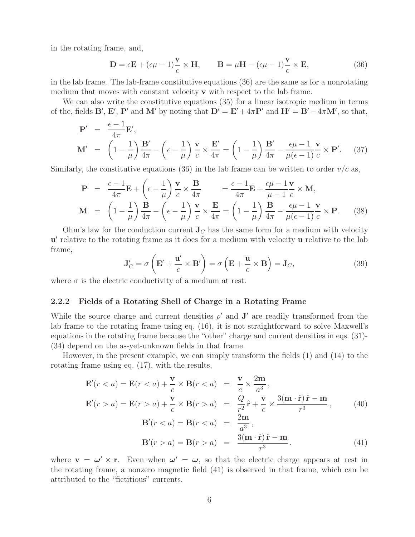in the rotating frame, and,

$$
\mathbf{D} = \epsilon \mathbf{E} + (\epsilon \mu - 1) \frac{\mathbf{v}}{c} \times \mathbf{H}, \qquad \mathbf{B} = \mu \mathbf{H} - (\epsilon \mu - 1) \frac{\mathbf{v}}{c} \times \mathbf{E}, \tag{36}
$$

in the lab frame. The lab-frame constitutive equations (36) are the same as for a nonrotating medium that moves with constant velocity **v** with respect to the lab frame.

We can also write the constitutive equations (35) for a linear isotropic medium in terms of the, fields **B'**, **E'**, **P'** and **M'** by noting that  $D' = E' + 4\pi P'$  and  $H' = B' - 4\pi M'$ , so that,

$$
\mathbf{P}' = \frac{\epsilon - 1}{4\pi} \mathbf{E}',
$$
\n
$$
\mathbf{M}' = \left(1 - \frac{1}{\mu}\right) \frac{\mathbf{B}'}{4\pi} - \left(\epsilon - \frac{1}{\mu}\right) \frac{\mathbf{v}}{c} \times \frac{\mathbf{E}'}{4\pi} = \left(1 - \frac{1}{\mu}\right) \frac{\mathbf{B}'}{4\pi} - \frac{\epsilon \mu - 1}{\mu(\epsilon - 1)} \frac{\mathbf{v}}{c} \times \mathbf{P}'. \quad (37)
$$

Similarly, the constitutive equations (36) in the lab frame can be written to order  $v/c$  as,

$$
\mathbf{P} = \frac{\epsilon - 1}{4\pi} \mathbf{E} + \left(\epsilon - \frac{1}{\mu}\right) \frac{\mathbf{v}}{c} \times \frac{\mathbf{B}}{4\pi} = \frac{\epsilon - 1}{4\pi} \mathbf{E} + \frac{\epsilon \mu - 1}{\mu - 1} \frac{\mathbf{v}}{c} \times \mathbf{M},
$$
\n
$$
\mathbf{M} = \left(1 - \frac{1}{\mu}\right) \frac{\mathbf{B}}{4\pi} - \left(\epsilon - \frac{1}{\mu}\right) \frac{\mathbf{v}}{c} \times \frac{\mathbf{E}}{4\pi} = \left(1 - \frac{1}{\mu}\right) \frac{\mathbf{B}}{4\pi} - \frac{\epsilon \mu - 1}{\mu(\epsilon - 1)} \frac{\mathbf{v}}{c} \times \mathbf{P}.
$$
\n(38)

Ohm's law for the conduction current  $J_C$  has the same form for a medium with velocity **u**' relative to the rotating frame as it does for a medium with velocity **u** relative to the lab frame,

$$
\mathbf{J}'_C = \sigma \left( \mathbf{E}' + \frac{\mathbf{u}'}{c} \times \mathbf{B}' \right) = \sigma \left( \mathbf{E} + \frac{\mathbf{u}}{c} \times \mathbf{B} \right) = \mathbf{J}_C,\tag{39}
$$

where  $\sigma$  is the electric conductivity of a medium at rest.

#### **2.2.2 Fields of a Rotating Shell of Charge in a Rotating Frame**

While the source charge and current densities  $\rho'$  and  $J'$  are readily transformed from the lab frame to the rotating frame using eq. (16), it is not straightforward to solve Maxwell's equations in the rotating frame because the "other" charge and current densities in eqs. (31)- (34) depend on the as-yet-unknown fields in that frame.

However, in the present example, we can simply transform the fields (1) and (14) to the rotating frame using eq. (17), with the results,

$$
\mathbf{E}'(r < a) = \mathbf{E}(r < a) + \frac{\mathbf{v}}{c} \times \mathbf{B}(r < a) = \frac{\mathbf{v}}{c} \times \frac{2\mathbf{m}}{a^3},
$$
  

$$
\mathbf{E}'(r > a) = \mathbf{E}(r > a) + \frac{\mathbf{v}}{c} \times \mathbf{B}(r > a) = \frac{Q}{r^2} \hat{\mathbf{r}} + \frac{\mathbf{v}}{c} \times \frac{3(\mathbf{m} \cdot \hat{\mathbf{r}}) \hat{\mathbf{r}} - \mathbf{m}}{r^3},
$$
(40)

$$
\mathbf{B}'(r < a) = \mathbf{B}(r < a) = \frac{2\mathbf{m}}{a^3},
$$
\n
$$
\mathbf{B}'(r > a) = \mathbf{B}(r > a) = \frac{3(\mathbf{m} \cdot \hat{\mathbf{r}}) \hat{\mathbf{r}} - \mathbf{m}}{r^3}.
$$
\n
$$
(41)
$$

where  $\mathbf{v} = \boldsymbol{\omega}' \times \mathbf{r}$ . Even when  $\boldsymbol{\omega}' = \boldsymbol{\omega}$ , so that the electric charge appears at rest in the rotating frame, a nonzero magnetic field (41) is observed in that frame, which can be attributed to the "fictitious" currents.